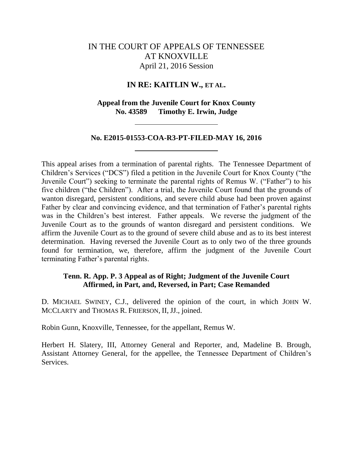# IN THE COURT OF APPEALS OF TENNESSEE AT KNOXVILLE April 21, 2016 Session

# **IN RE: KAITLIN W., ET AL.**

# **Appeal from the Juvenile Court for Knox County No. 43589 Timothy E. Irwin, Judge**

### **No. E2015-01553-COA-R3-PT-FILED-MAY 16, 2016**

This appeal arises from a termination of parental rights. The Tennessee Department of Children's Services ("DCS") filed a petition in the Juvenile Court for Knox County ("the Juvenile Court") seeking to terminate the parental rights of Remus W. ("Father") to his five children ("the Children"). After a trial, the Juvenile Court found that the grounds of wanton disregard, persistent conditions, and severe child abuse had been proven against Father by clear and convincing evidence, and that termination of Father's parental rights was in the Children's best interest. Father appeals. We reverse the judgment of the Juvenile Court as to the grounds of wanton disregard and persistent conditions. We affirm the Juvenile Court as to the ground of severe child abuse and as to its best interest determination. Having reversed the Juvenile Court as to only two of the three grounds found for termination, we, therefore, affirm the judgment of the Juvenile Court terminating Father's parental rights.

# **Tenn. R. App. P. 3 Appeal as of Right; Judgment of the Juvenile Court Affirmed, in Part, and, Reversed, in Part; Case Remanded**

D. MICHAEL SWINEY, C.J., delivered the opinion of the court, in which JOHN W. MCCLARTY and THOMAS R. FRIERSON, II, JJ., joined.

Robin Gunn, Knoxville, Tennessee, for the appellant, Remus W.

Herbert H. Slatery, III, Attorney General and Reporter, and, Madeline B. Brough, Assistant Attorney General, for the appellee, the Tennessee Department of Children's Services.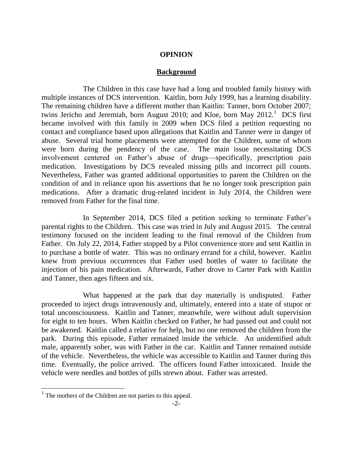## **OPINION**

#### **Background**

The Children in this case have had a long and troubled family history with multiple instances of DCS intervention. Kaitlin, born July 1999, has a learning disability. The remaining children have a different mother than Kaitlin: Tanner, born October 2007; twins Jericho and Jeremiah, born August 2010; and Kloe, born May 2012.<sup>1</sup> DCS first became involved with this family in 2009 when DCS filed a petition requesting no contact and compliance based upon allegations that Kaitlin and Tanner were in danger of abuse. Several trial home placements were attempted for the Children, some of whom were born during the pendency of the case. The main issue necessitating DCS involvement centered on Father's abuse of drugs—specifically, prescription pain medication. Investigations by DCS revealed missing pills and incorrect pill counts. Nevertheless, Father was granted additional opportunities to parent the Children on the condition of and in reliance upon his assertions that he no longer took prescription pain medications. After a dramatic drug-related incident in July 2014, the Children were removed from Father for the final time.

In September 2014, DCS filed a petition seeking to terminate Father's parental rights to the Children. This case was tried in July and August 2015. The central testimony focused on the incident leading to the final removal of the Children from Father. On July 22, 2014, Father stopped by a Pilot convenience store and sent Kaitlin in to purchase a bottle of water. This was no ordinary errand for a child, however. Kaitlin knew from previous occurrences that Father used bottles of water to facilitate the injection of his pain medication. Afterwards, Father drove to Carter Park with Kaitlin and Tanner, then ages fifteen and six.

What happened at the park that day materially is undisputed. Father proceeded to inject drugs intravenously and, ultimately, entered into a state of stupor or total unconsciousness. Kaitlin and Tanner, meanwhile, were without adult supervision for eight to ten hours. When Kaitlin checked on Father, he had passed out and could not be awakened. Kaitlin called a relative for help, but no one removed the children from the park. During this episode, Father remained inside the vehicle. An unidentified adult male, apparently sober, was with Father in the car. Kaitlin and Tanner remained outside of the vehicle. Nevertheless, the vehicle was accessible to Kaitlin and Tanner during this time. Eventually, the police arrived. The officers found Father intoxicated. Inside the vehicle were needles and bottles of pills strewn about. Father was arrested.

 $<sup>1</sup>$  The mothers of the Children are not parties to this appeal.</sup>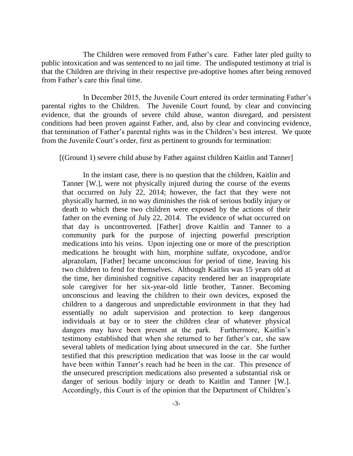The Children were removed from Father's care. Father later pled guilty to public intoxication and was sentenced to no jail time. The undisputed testimony at trial is that the Children are thriving in their respective pre-adoptive homes after being removed from Father's care this final time.

In December 2015, the Juvenile Court entered its order terminating Father's parental rights to the Children. The Juvenile Court found, by clear and convincing evidence, that the grounds of severe child abuse, wanton disregard, and persistent conditions had been proven against Father, and, also by clear and convincing evidence, that termination of Father's parental rights was in the Children's best interest. We quote from the Juvenile Court's order, first as pertinent to grounds for termination:

[(Ground 1) severe child abuse by Father against children Kaitlin and Tanner]

In the instant case, there is no question that the children, Kaitlin and Tanner [W.], were not physically injured during the course of the events that occurred on July 22, 2014; however, the fact that they were not physically harmed, in no way diminishes the risk of serious bodily injury or death to which these two children were exposed by the actions of their father on the evening of July 22, 2014. The evidence of what occurred on that day is uncontroverted. [Father] drove Kaitlin and Tanner to a community park for the purpose of injecting powerful prescription medications into his veins. Upon injecting one or more of the prescription medications he brought with him, morphine sulfate, oxycodone, and/or alprazolam, [Father] became unconscious for period of time, leaving his two children to fend for themselves. Although Kaitlin was 15 years old at the time, her diminished cognitive capacity rendered her an inappropriate sole caregiver for her six-year-old little brother, Tanner. Becoming unconscious and leaving the children to their own devices, exposed the children to a dangerous and unpredictable environment in that they had essentially no adult supervision and protection to keep dangerous individuals at bay or to steer the children clear of whatever physical dangers may have been present at the park. Furthermore, Kaitlin's testimony established that when she returned to her father's car, she saw several tablets of medication lying about unsecured in the car. She further testified that this prescription medication that was loose in the car would have been within Tanner's reach had he been in the car. This presence of the unsecured prescription medications also presented a substantial risk or danger of serious bodily injury or death to Kaitlin and Tanner [W.]. Accordingly, this Court is of the opinion that the Department of Children's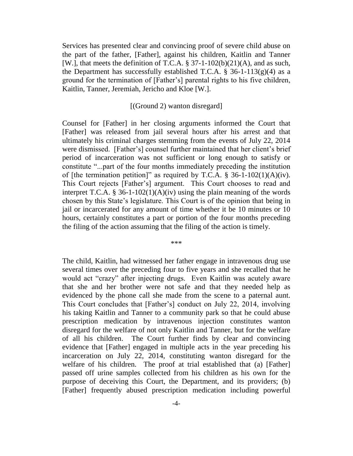Services has presented clear and convincing proof of severe child abuse on the part of the father, [Father], against his children, Kaitlin and Tanner [W.], that meets the definition of T.C.A.  $\S 37$ -1-102(b)(21)(A), and as such, the Department has successfully established T.C.A.  $\S$  36-1-113(g)(4) as a ground for the termination of [Father's] parental rights to his five children, Kaitlin, Tanner, Jeremiah, Jericho and Kloe [W.].

#### [(Ground 2) wanton disregard]

Counsel for [Father] in her closing arguments informed the Court that [Father] was released from jail several hours after his arrest and that ultimately his criminal charges stemming from the events of July 22, 2014 were dismissed. [Father's] counsel further maintained that her client's brief period of incarceration was not sufficient or long enough to satisfy or constitute ―...part of the four months immediately preceding the institution of [the termination petition]" as required by T.C.A.  $\S$  36-1-102(1)(A)(iv). This Court rejects [Father's] argument. This Court chooses to read and interpret T.C.A. § 36-1-102(1)(A)(iv) using the plain meaning of the words chosen by this State's legislature. This Court is of the opinion that being in jail or incarcerated for any amount of time whether it be 10 minutes or 10 hours, certainly constitutes a part or portion of the four months preceding the filing of the action assuming that the filing of the action is timely.

\*\*\*

The child, Kaitlin, had witnessed her father engage in intravenous drug use several times over the preceding four to five years and she recalled that he would act "crazy" after injecting drugs. Even Kaitlin was acutely aware that she and her brother were not safe and that they needed help as evidenced by the phone call she made from the scene to a paternal aunt. This Court concludes that [Father's] conduct on July 22, 2014, involving his taking Kaitlin and Tanner to a community park so that he could abuse prescription medication by intravenous injection constitutes wanton disregard for the welfare of not only Kaitlin and Tanner, but for the welfare of all his children. The Court further finds by clear and convincing evidence that [Father] engaged in multiple acts in the year preceding his incarceration on July 22, 2014, constituting wanton disregard for the welfare of his children. The proof at trial established that (a) [Father] passed off urine samples collected from his children as his own for the purpose of deceiving this Court, the Department, and its providers; (b) [Father] frequently abused prescription medication including powerful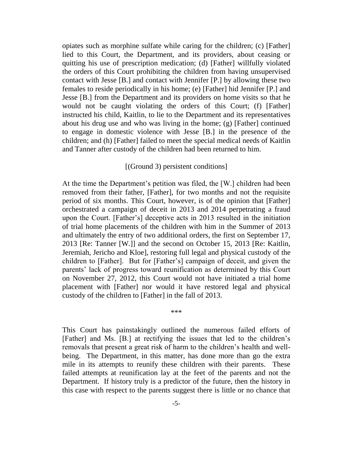opiates such as morphine sulfate while caring for the children; (c) [Father] lied to this Court, the Department, and its providers, about ceasing or quitting his use of prescription medication; (d) [Father] willfully violated the orders of this Court prohibiting the children from having unsupervised contact with Jesse [B.] and contact with Jennifer [P.] by allowing these two females to reside periodically in his home; (e) [Father] hid Jennifer [P.] and Jesse [B.] from the Department and its providers on home visits so that he would not be caught violating the orders of this Court; (f) [Father] instructed his child, Kaitlin, to lie to the Department and its representatives about his drug use and who was living in the home; (g) [Father] continued to engage in domestic violence with Jesse [B.] in the presence of the children; and (h) [Father] failed to meet the special medical needs of Kaitlin and Tanner after custody of the children had been returned to him.

### [(Ground 3) persistent conditions]

At the time the Department's petition was filed, the [W.] children had been removed from their father, [Father], for two months and not the requisite period of six months. This Court, however, is of the opinion that [Father] orchestrated a campaign of deceit in 2013 and 2014 perpetrating a fraud upon the Court. [Father's] deceptive acts in 2013 resulted in the initiation of trial home placements of the children with him in the Summer of 2013 and ultimately the entry of two additional orders, the first on September 17, 2013 [Re: Tanner [W.]] and the second on October 15, 2013 [Re: Kaitlin, Jeremiah, Jericho and Kloe], restoring full legal and physical custody of the children to [Father]. But for [Father's] campaign of deceit, and given the parents' lack of progress toward reunification as determined by this Court on November 27, 2012, this Court would not have initiated a trial home placement with [Father] nor would it have restored legal and physical custody of the children to [Father] in the fall of 2013.

This Court has painstakingly outlined the numerous failed efforts of [Father] and Ms. [B.] at rectifying the issues that led to the children's removals that present a great risk of harm to the children's health and wellbeing. The Department, in this matter, has done more than go the extra mile in its attempts to reunify these children with their parents. These failed attempts at reunification lay at the feet of the parents and not the Department. If history truly is a predictor of the future, then the history in this case with respect to the parents suggest there is little or no chance that

\*\*\*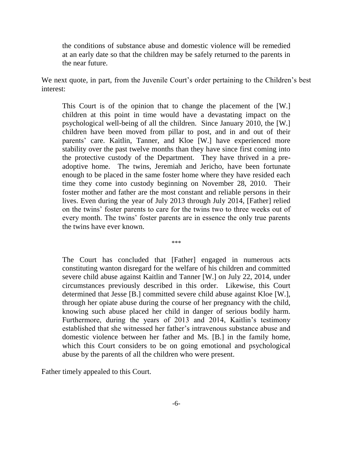the conditions of substance abuse and domestic violence will be remedied at an early date so that the children may be safely returned to the parents in the near future.

We next quote, in part, from the Juvenile Court's order pertaining to the Children's best interest:

This Court is of the opinion that to change the placement of the [W.] children at this point in time would have a devastating impact on the psychological well-being of all the children. Since January 2010, the [W.] children have been moved from pillar to post, and in and out of their parents' care. Kaitlin, Tanner, and Kloe [W.] have experienced more stability over the past twelve months than they have since first coming into the protective custody of the Department. They have thrived in a preadoptive home. The twins, Jeremiah and Jericho, have been fortunate enough to be placed in the same foster home where they have resided each time they come into custody beginning on November 28, 2010. Their foster mother and father are the most constant and reliable persons in their lives. Even during the year of July 2013 through July 2014, [Father] relied on the twins' foster parents to care for the twins two to three weeks out of every month. The twins' foster parents are in essence the only true parents the twins have ever known.

The Court has concluded that [Father] engaged in numerous acts constituting wanton disregard for the welfare of his children and committed severe child abuse against Kaitlin and Tanner [W.] on July 22, 2014, under circumstances previously described in this order. Likewise, this Court determined that Jesse [B.] committed severe child abuse against Kloe [W.], through her opiate abuse during the course of her pregnancy with the child, knowing such abuse placed her child in danger of serious bodily harm. Furthermore, during the years of 2013 and 2014, Kaitlin's testimony established that she witnessed her father's intravenous substance abuse and domestic violence between her father and Ms. [B.] in the family home, which this Court considers to be on going emotional and psychological abuse by the parents of all the children who were present.

\*\*\*

Father timely appealed to this Court.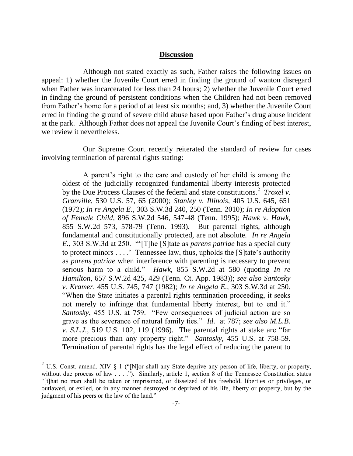### **Discussion**

Although not stated exactly as such, Father raises the following issues on appeal: 1) whether the Juvenile Court erred in finding the ground of wanton disregard when Father was incarcerated for less than 24 hours; 2) whether the Juvenile Court erred in finding the ground of persistent conditions when the Children had not been removed from Father's home for a period of at least six months; and, 3) whether the Juvenile Court erred in finding the ground of severe child abuse based upon Father's drug abuse incident at the park. Although Father does not appeal the Juvenile Court's finding of best interest, we review it nevertheless.

Our Supreme Court recently reiterated the standard of review for cases involving termination of parental rights stating:

A parent's right to the care and custody of her child is among the oldest of the judicially recognized fundamental liberty interests protected by the Due Process Clauses of the federal and state constitutions.<sup>2</sup> *Troxel v. Granville*, 530 U.S. 57, 65 (2000); *Stanley v. Illinois*, 405 U.S. 645, 651 (1972); *In re Angela E.*, 303 S.W.3d 240, 250 (Tenn. 2010); *In re Adoption of Female Child*, 896 S.W.2d 546, 547-48 (Tenn. 1995); *Hawk v. Hawk*, 855 S.W.2d 573, 578-79 (Tenn. 1993). But parental rights, although fundamental and constitutionally protected, are not absolute. *In re Angela E.*, 303 S.W.3d at 250. "'[T]he [S]tate as *parens patriae* has a special duty to protect minors . . . .' Tennessee law, thus, upholds the [S]tate's authority as *parens patriae* when interference with parenting is necessary to prevent serious harm to a child.‖ *Hawk*, 855 S.W.2d at 580 (quoting *In re Hamilton*, 657 S.W.2d 425, 429 (Tenn. Ct. App. 1983)); *see also Santosky v. Kramer*, 455 U.S. 745, 747 (1982); *In re Angela E.*, 303 S.W.3d at 250. ―When the State initiates a parental rights termination proceeding, it seeks not merely to infringe that fundamental liberty interest, but to end it." *Santosky*, 455 U.S. at 759. "Few consequences of judicial action are so grave as the severance of natural family ties." *Id.* at 787; see also M.L.B. *v. S.L.J.*, 519 U.S. 102, 119 (1996). The parental rights at stake are "far more precious than any property right." *Santosky*, 455 U.S. at 758-59. Termination of parental rights has the legal effect of reducing the parent to

<sup>&</sup>lt;sup>2</sup> U.S. Const. amend. XIV § 1 ("[N]or shall any State deprive any person of life, liberty, or property, without due process of law . . . ."). Similarly, article 1, section 8 of the Tennessee Constitution states ―[t]hat no man shall be taken or imprisoned, or disseized of his freehold, liberties or privileges, or outlawed, or exiled, or in any manner destroyed or deprived of his life, liberty or property, but by the judgment of his peers or the law of the land."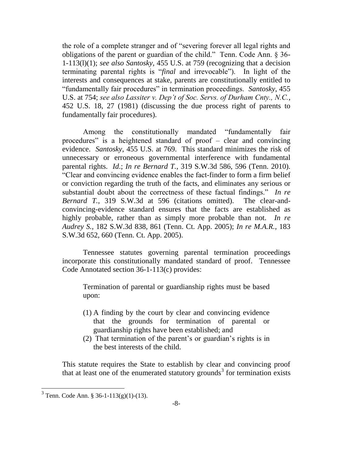the role of a complete stranger and of "severing forever all legal rights and obligations of the parent or guardian of the child." Tenn. Code Ann. § 36-1-113(l)(1); *see also Santosky*, 455 U.S. at 759 (recognizing that a decision terminating parental rights is "*final* and irrevocable"). In light of the interests and consequences at stake, parents are constitutionally entitled to ―fundamentally fair procedures‖ in termination proceedings. *Santosky*, 455 U.S. at 754; *see also Lassiter v. Dep't of Soc. Servs. of Durham Cnty., N.C.*, 452 U.S. 18, 27 (1981) (discussing the due process right of parents to fundamentally fair procedures).

Among the constitutionally mandated "fundamentally fair procedures" is a heightened standard of proof  $-$  clear and convincing evidence. *Santosky*, 455 U.S. at 769. This standard minimizes the risk of unnecessary or erroneous governmental interference with fundamental parental rights. *Id*.; *In re Bernard T.*, 319 S.W.3d 586, 596 (Tenn. 2010). ―Clear and convincing evidence enables the fact-finder to form a firm belief or conviction regarding the truth of the facts, and eliminates any serious or substantial doubt about the correctness of these factual findings." In re *Bernard T.*, 319 S.W.3d at 596 (citations omitted). The clear-andconvincing-evidence standard ensures that the facts are established as highly probable, rather than as simply more probable than not. *In re Audrey S.*, 182 S.W.3d 838, 861 (Tenn. Ct. App. 2005); *In re M.A.R.*, 183 S.W.3d 652, 660 (Tenn. Ct. App. 2005).

Tennessee statutes governing parental termination proceedings incorporate this constitutionally mandated standard of proof. Tennessee Code Annotated section 36-1-113(c) provides:

Termination of parental or guardianship rights must be based upon:

- (1) A finding by the court by clear and convincing evidence that the grounds for termination of parental or guardianship rights have been established; and
- (2) That termination of the parent's or guardian's rights is in the best interests of the child.

This statute requires the State to establish by clear and convincing proof that at least one of the enumerated statutory grounds<sup>3</sup> for termination exists

 $3$  Tenn. Code Ann. § 36-1-113(g)(1)-(13).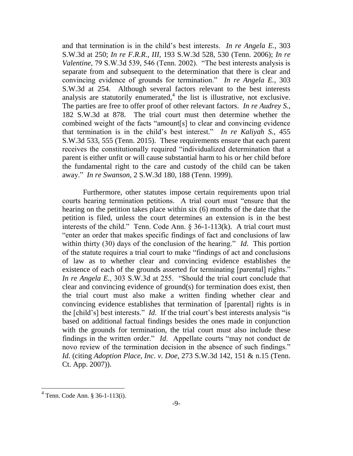and that termination is in the child's best interests. *In re Angela E.*, 303 S.W.3d at 250; *In re F.R.R., III*, 193 S.W.3d 528, 530 (Tenn. 2006); *In re Valentine*, 79 S.W.3d 539, 546 (Tenn. 2002). "The best interests analysis is separate from and subsequent to the determination that there is clear and convincing evidence of grounds for termination." In re Angela E., 303 S.W.3d at 254. Although several factors relevant to the best interests analysis are statutorily enumerated, $4$  the list is illustrative, not exclusive. The parties are free to offer proof of other relevant factors. *In re Audrey S.*, 182 S.W.3d at 878. The trial court must then determine whether the combined weight of the facts "amount[s] to clear and convincing evidence that termination is in the child's best interest." In re Kaliyah S., 455 S.W.3d 533, 555 (Tenn. 2015). These requirements ensure that each parent receives the constitutionally required "individualized determination that a parent is either unfit or will cause substantial harm to his or her child before the fundamental right to the care and custody of the child can be taken away.‖ *In re Swanson*, 2 S.W.3d 180, 188 (Tenn. 1999).

Furthermore, other statutes impose certain requirements upon trial courts hearing termination petitions. A trial court must "ensure that the hearing on the petition takes place within six (6) months of the date that the petition is filed, unless the court determines an extension is in the best interests of the child." Tenn. Code Ann.  $\S$  36-1-113(k). A trial court must "enter an order that makes specific findings of fact and conclusions of law within thirty (30) days of the conclusion of the hearing." *Id*. This portion of the statute requires a trial court to make "findings of act and conclusions" of law as to whether clear and convincing evidence establishes the existence of each of the grounds asserted for terminating [parental] rights." *In re Angela E.*, 303 S.W.3d at 255. "Should the trial court conclude that clear and convincing evidence of ground(s) for termination does exist, then the trial court must also make a written finding whether clear and convincing evidence establishes that termination of [parental] rights is in the [child's] best interests." *Id.* If the trial court's best interests analysis "is based on additional factual findings besides the ones made in conjunction with the grounds for termination, the trial court must also include these findings in the written order." *Id*. Appellate courts "may not conduct de novo review of the termination decision in the absence of such findings." *Id*. (citing *Adoption Place, Inc. v. Doe*, 273 S.W.3d 142, 151 & n.15 (Tenn. Ct. App. 2007)).

<sup>4</sup> Tenn. Code Ann. § 36-1-113(i).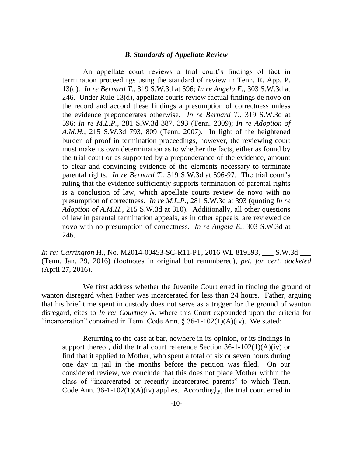#### *B. Standards of Appellate Review*

An appellate court reviews a trial court's findings of fact in termination proceedings using the standard of review in Tenn. R. App. P. 13(d). *In re Bernard T.*, 319 S.W.3d at 596; *In re Angela E.*, 303 S.W.3d at 246. Under Rule 13(d), appellate courts review factual findings de novo on the record and accord these findings a presumption of correctness unless the evidence preponderates otherwise. *In re Bernard T.*, 319 S.W.3d at 596; *In re M.L.P.*, 281 S.W.3d 387, 393 (Tenn. 2009); *In re Adoption of A.M.H.*, 215 S.W.3d 793, 809 (Tenn. 2007). In light of the heightened burden of proof in termination proceedings, however, the reviewing court must make its own determination as to whether the facts, either as found by the trial court or as supported by a preponderance of the evidence, amount to clear and convincing evidence of the elements necessary to terminate parental rights. *In re Bernard T.*, 319 S.W.3d at 596-97. The trial court's ruling that the evidence sufficiently supports termination of parental rights is a conclusion of law, which appellate courts review de novo with no presumption of correctness. *In re M.L.P.*, 281 S.W.3d at 393 (quoting *In re Adoption of A.M.H.*, 215 S.W.3d at 810). Additionally, all other questions of law in parental termination appeals, as in other appeals, are reviewed de novo with no presumption of correctness. *In re Angela E.*, 303 S.W.3d at 246.

*In re: Carrington H.*, No. M2014-00453-SC-R11-PT, 2016 WL 819593, \_\_\_ S.W.3d \_\_\_ (Tenn. Jan. 29, 2016) (footnotes in original but renumbered), *pet. for cert. docketed* (April 27, 2016).

We first address whether the Juvenile Court erred in finding the ground of wanton disregard when Father was incarcerated for less than 24 hours. Father, arguing that his brief time spent in custody does not serve as a trigger for the ground of wanton disregard, cites to *In re: Courtney N.* where this Court expounded upon the criteria for "incarceration" contained in Tenn. Code Ann.  $\S$  36-1-102(1)(A)(iv). We stated:

Returning to the case at bar, nowhere in its opinion, or its findings in support thereof, did the trial court reference Section  $36-1-102(1)(A)(iv)$  or find that it applied to Mother, who spent a total of six or seven hours during one day in jail in the months before the petition was filed. On our considered review, we conclude that this does not place Mother within the class of "incarcerated or recently incarcerated parents" to which Tenn. Code Ann.  $36-1-102(1)(A)(iv)$  applies. Accordingly, the trial court erred in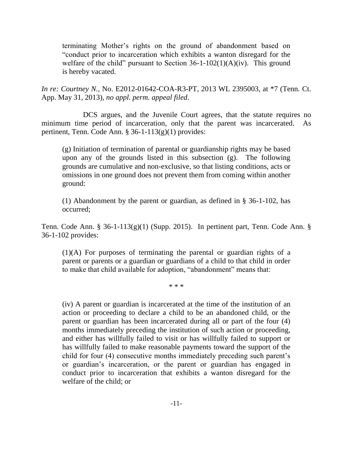terminating Mother's rights on the ground of abandonment based on ―conduct prior to incarceration which exhibits a wanton disregard for the welfare of the child" pursuant to Section  $36-1-102(1)(A)(iv)$ . This ground is hereby vacated.

*In re: Courtney N.*, No. E2012-01642-COA-R3-PT, 2013 WL 2395003, at \*7 (Tenn. Ct. App. May 31, 2013), *no appl. perm. appeal filed*.

DCS argues, and the Juvenile Court agrees, that the statute requires no minimum time period of incarceration, only that the parent was incarcerated. As pertinent, Tenn. Code Ann. § 36-1-113(g)(1) provides:

(g) Initiation of termination of parental or guardianship rights may be based upon any of the grounds listed in this subsection (g). The following grounds are cumulative and non-exclusive, so that listing conditions, acts or omissions in one ground does not prevent them from coming within another ground:

(1) Abandonment by the parent or guardian, as defined in § 36-1-102, has occurred;

Tenn. Code Ann. § 36-1-113(g)(1) (Supp. 2015). In pertinent part, Tenn. Code Ann. § 36-1-102 provides:

(1)(A) For purposes of terminating the parental or guardian rights of a parent or parents or a guardian or guardians of a child to that child in order to make that child available for adoption, "abandonment" means that:

\* \* \*

(iv) A parent or guardian is incarcerated at the time of the institution of an action or proceeding to declare a child to be an abandoned child, or the parent or guardian has been incarcerated during all or part of the four (4) months immediately preceding the institution of such action or proceeding, and either has willfully failed to visit or has willfully failed to support or has willfully failed to make reasonable payments toward the support of the child for four (4) consecutive months immediately preceding such parent's or guardian's incarceration, or the parent or guardian has engaged in conduct prior to incarceration that exhibits a wanton disregard for the welfare of the child; or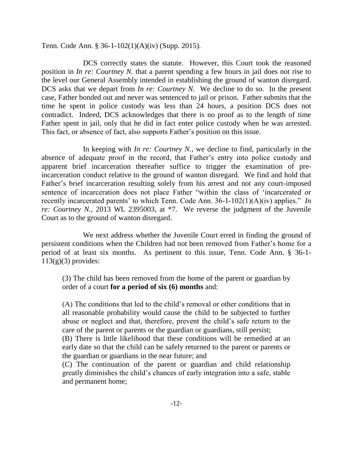Tenn. Code Ann. § 36-1-102(1)(A)(iv) (Supp. 2015).

DCS correctly states the statute. However, this Court took the reasoned position in *In re: Courtney N.* that a parent spending a few hours in jail does not rise to the level our General Assembly intended in establishing the ground of wanton disregard. DCS asks that we depart from *In re: Courtney N.* We decline to do so. In the present case, Father bonded out and never was sentenced to jail or prison. Father submits that the time he spent in police custody was less than 24 hours, a position DCS does not contradict. Indeed, DCS acknowledges that there is no proof as to the length of time Father spent in jail, only that he did in fact enter police custody when he was arrested. This fact, or absence of fact, also supports Father's position on this issue.

In keeping with *In re: Courtney N.*, we decline to find, particularly in the absence of adequate proof in the record, that Father's entry into police custody and apparent brief incarceration thereafter suffice to trigger the examination of preincarceration conduct relative to the ground of wanton disregard. We find and hold that Father's brief incarceration resulting solely from his arrest and not any court-imposed sentence of incarceration does not place Father "within the class of 'incarcerated or recently incarcerated parents' to which Tenn. Code Ann.  $36-1-102(1)(A)(iv)$  applies." *In re: Courtney N.*, 2013 WL 2395003, at \*7. We reverse the judgment of the Juvenile Court as to the ground of wanton disregard.

We next address whether the Juvenile Court erred in finding the ground of persistent conditions when the Children had not been removed from Father's home for a period of at least six months. As pertinent to this issue, Tenn. Code Ann. § 36-1-  $113(g)(3)$  provides:

(3) The child has been removed from the home of the parent or guardian by order of a court **for a period of six (6) months** and:

(A) The conditions that led to the child's removal or other conditions that in all reasonable probability would cause the child to be subjected to further abuse or neglect and that, therefore, prevent the child's safe return to the care of the parent or parents or the guardian or guardians, still persist;

(B) There is little likelihood that these conditions will be remedied at an early date so that the child can be safely returned to the parent or parents or the guardian or guardians in the near future; and

(C) The continuation of the parent or guardian and child relationship greatly diminishes the child's chances of early integration into a safe, stable and permanent home;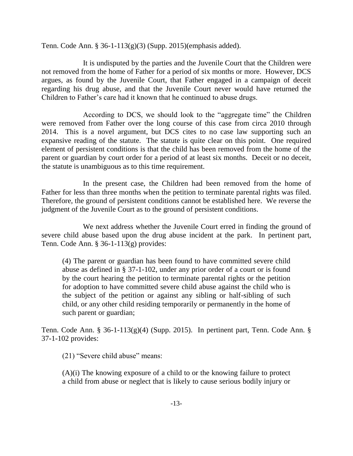Tenn. Code Ann. § 36-1-113(g)(3) (Supp. 2015)(emphasis added).

It is undisputed by the parties and the Juvenile Court that the Children were not removed from the home of Father for a period of six months or more. However, DCS argues, as found by the Juvenile Court, that Father engaged in a campaign of deceit regarding his drug abuse, and that the Juvenile Court never would have returned the Children to Father's care had it known that he continued to abuse drugs.

According to DCS, we should look to the "aggregate time" the Children were removed from Father over the long course of this case from circa 2010 through 2014. This is a novel argument, but DCS cites to no case law supporting such an expansive reading of the statute. The statute is quite clear on this point. One required element of persistent conditions is that the child has been removed from the home of the parent or guardian by court order for a period of at least six months. Deceit or no deceit, the statute is unambiguous as to this time requirement.

In the present case, the Children had been removed from the home of Father for less than three months when the petition to terminate parental rights was filed. Therefore, the ground of persistent conditions cannot be established here. We reverse the judgment of the Juvenile Court as to the ground of persistent conditions.

We next address whether the Juvenile Court erred in finding the ground of severe child abuse based upon the drug abuse incident at the park. In pertinent part, Tenn. Code Ann. § 36-1-113(g) provides:

(4) The parent or guardian has been found to have committed severe child abuse as defined in § 37-1-102, under any prior order of a court or is found by the court hearing the petition to terminate parental rights or the petition for adoption to have committed severe child abuse against the child who is the subject of the petition or against any sibling or half-sibling of such child, or any other child residing temporarily or permanently in the home of such parent or guardian;

Tenn. Code Ann. § 36-1-113(g)(4) (Supp. 2015). In pertinent part, Tenn. Code Ann. § 37-1-102 provides:

 $(21)$  "Severe child abuse" means:

(A)(i) The knowing exposure of a child to or the knowing failure to protect a child from abuse or neglect that is likely to cause serious bodily injury or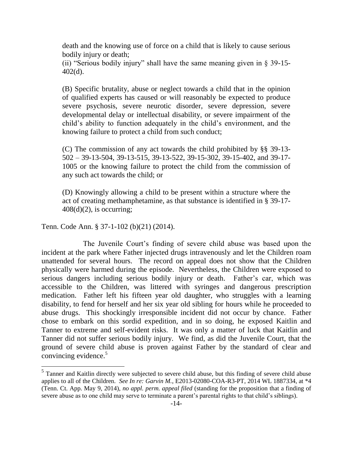death and the knowing use of force on a child that is likely to cause serious bodily injury or death;

(ii) "Serious bodily injury" shall have the same meaning given in  $\S$  39-15-402(d).

(B) Specific brutality, abuse or neglect towards a child that in the opinion of qualified experts has caused or will reasonably be expected to produce severe psychosis, severe neurotic disorder, severe depression, severe developmental delay or intellectual disability, or severe impairment of the child's ability to function adequately in the child's environment, and the knowing failure to protect a child from such conduct;

(C) The commission of any act towards the child prohibited by §§ 39-13- 502 – 39-13-504, 39-13-515, 39-13-522, 39-15-302, 39-15-402, and 39-17- 1005 or the knowing failure to protect the child from the commission of any such act towards the child; or

(D) Knowingly allowing a child to be present within a structure where the act of creating methamphetamine, as that substance is identified in § 39-17-  $408(d)(2)$ , is occurring;

Tenn. Code Ann. § 37-1-102 (b)(21) (2014).

 $\overline{\phantom{a}}$ 

The Juvenile Court's finding of severe child abuse was based upon the incident at the park where Father injected drugs intravenously and let the Children roam unattended for several hours. The record on appeal does not show that the Children physically were harmed during the episode. Nevertheless, the Children were exposed to serious dangers including serious bodily injury or death. Father's car, which was accessible to the Children, was littered with syringes and dangerous prescription medication. Father left his fifteen year old daughter, who struggles with a learning disability, to fend for herself and her six year old sibling for hours while he proceeded to abuse drugs. This shockingly irresponsible incident did not occur by chance. Father chose to embark on this sordid expedition, and in so doing, he exposed Kaitlin and Tanner to extreme and self-evident risks. It was only a matter of luck that Kaitlin and Tanner did not suffer serious bodily injury. We find, as did the Juvenile Court, that the ground of severe child abuse is proven against Father by the standard of clear and convincing evidence.<sup>5</sup>

<sup>&</sup>lt;sup>5</sup> Tanner and Kaitlin directly were subjected to severe child abuse, but this finding of severe child abuse applies to all of the Children. *See In re: Garvin M.*, E2013-02080-COA-R3-PT, 2014 WL 1887334, at \*4 (Tenn. Ct. App. May 9, 2014), *no appl. perm. appeal filed* (standing for the proposition that a finding of severe abuse as to one child may serve to terminate a parent's parental rights to that child's siblings).